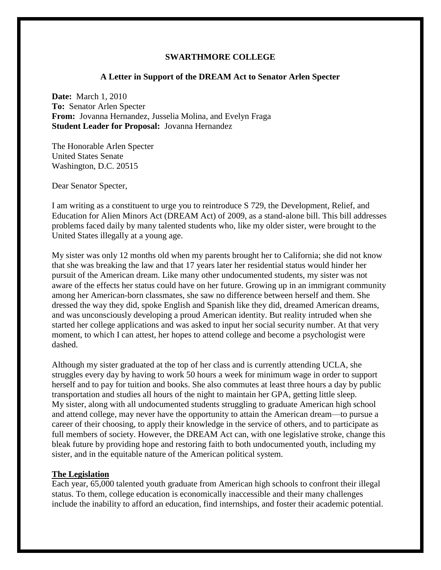### **SWARTHMORE COLLEGE**

## **A Letter in Support of the DREAM Act to Senator Arlen Specter**

**Date:** March 1, 2010 **To:** Senator Arlen Specter **From:** Jovanna Hernandez, Jusselia Molina, and Evelyn Fraga **Student Leader for Proposal:** Jovanna Hernandez

The Honorable Arlen Specter United States Senate Washington, D.C. 20515

Dear Senator Specter,

I am writing as a constituent to urge you to reintroduce S 729, the Development, Relief, and Education for Alien Minors Act (DREAM Act) of 2009, as a stand-alone bill. This bill addresses problems faced daily by many talented students who, like my older sister, were brought to the United States illegally at a young age.

My sister was only 12 months old when my parents brought her to California; she did not know that she was breaking the law and that 17 years later her residential status would hinder her pursuit of the American dream. Like many other undocumented students, my sister was not aware of the effects her status could have on her future. Growing up in an immigrant community among her American-born classmates, she saw no difference between herself and them. She dressed the way they did, spoke English and Spanish like they did, dreamed American dreams, and was unconsciously developing a proud American identity. But reality intruded when she started her college applications and was asked to input her social security number. At that very moment, to which I can attest, her hopes to attend college and become a psychologist were dashed.

Although my sister graduated at the top of her class and is currently attending UCLA, she struggles every day by having to work 50 hours a week for minimum wage in order to support herself and to pay for tuition and books. She also commutes at least three hours a day by public transportation and studies all hours of the night to maintain her GPA, getting little sleep. My sister, along with all undocumented students struggling to graduate American high school and attend college, may never have the opportunity to attain the American dream—to pursue a career of their choosing, to apply their knowledge in the service of others, and to participate as full members of society. However, the DREAM Act can, with one legislative stroke, change this bleak future by providing hope and restoring faith to both undocumented youth, including my sister, and in the equitable nature of the American political system.

#### **The Legislation**

Each year, 65,000 talented youth graduate from American high schools to confront their illegal status. To them, college education is economically inaccessible and their many challenges include the inability to afford an education, find internships, and foster their academic potential.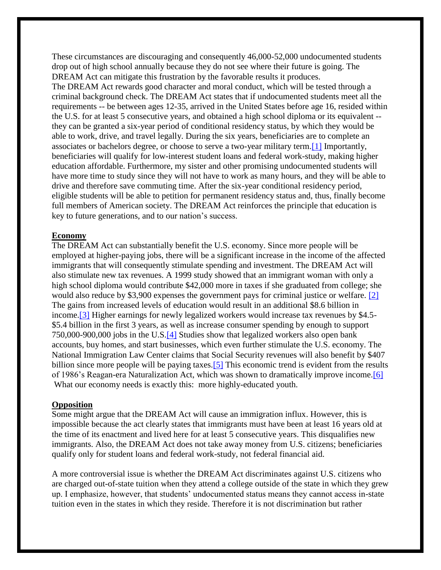These circumstances are discouraging and consequently 46,000-52,000 undocumented students drop out of high school annually because they do not see where their future is going. The DREAM Act can mitigate this frustration by the favorable results it produces. The DREAM Act rewards good character and moral conduct, which will be tested through a criminal background check. The DREAM Act states that if undocumented students meet all the requirements -- be between ages 12-35, arrived in the United States before age 16, resided within the U.S. for at least 5 consecutive years, and obtained a high school diploma or its equivalent - they can be granted a six-year period of conditional residency status, by which they would be able to work, drive, and travel legally. During the six years, beneficiaries are to complete an associates or bachelors degree, or choose to serve a two-year military term[.\[1\]](https://docs.google.com/Doc?docid=0AU3EMes_qvX6ZGNrNGRqM3JfOGM0OGJqbmRt&hl=en#_ftn1) Importantly, beneficiaries will qualify for low-interest student loans and federal work-study, making higher education affordable. Furthermore, my sister and other promising undocumented students will have more time to study since they will not have to work as many hours, and they will be able to drive and therefore save commuting time. After the six-year conditional residency period, eligible students will be able to petition for permanent residency status and, thus, finally become full members of American society. The DREAM Act reinforces the principle that education is key to future generations, and to our nation's success.

#### **Economy**

The DREAM Act can substantially benefit the U.S. economy. Since more people will be employed at higher-paying jobs, there will be a significant increase in the income of the affected immigrants that will consequently stimulate spending and investment. The DREAM Act will also stimulate new tax revenues. A 1999 study showed that an immigrant woman with only a high school diploma would contribute \$42,000 more in taxes if she graduated from college; she would also reduce by \$3,900 expenses the government pays for criminal justice or welfare. [\[2\]](https://docs.google.com/Doc?docid=0AU3EMes_qvX6ZGNrNGRqM3JfOGM0OGJqbmRt&hl=en#_ftn2) The gains from increased levels of education would result in an additional \$8.6 billion in income[.\[3\]](https://docs.google.com/Doc?docid=0AU3EMes_qvX6ZGNrNGRqM3JfOGM0OGJqbmRt&hl=en#_ftn3) Higher earnings for newly legalized workers would increase tax revenues by \$4.5- \$5.4 billion in the first 3 years, as well as increase consumer spending by enough to support 750,000-900,000 jobs in the U.S[.\[4\]](https://docs.google.com/Doc?docid=0AU3EMes_qvX6ZGNrNGRqM3JfOGM0OGJqbmRt&hl=en#_ftn4) Studies show that legalized workers also open bank accounts, buy homes, and start businesses, which even further stimulate the U.S. economy. The National Immigration Law Center claims that Social Security revenues will also benefit by \$407 billion since more people will be paying taxes.<sup>[5]</sup> This economic trend is evident from the results of 1986's Reagan-era Naturalization Act, which was shown to dramatically improve income[.\[6\]](https://docs.google.com/Doc?docid=0AU3EMes_qvX6ZGNrNGRqM3JfOGM0OGJqbmRt&hl=en#_ftn6) What our economy needs is exactly this: more highly-educated youth.

## **Opposition**

Some might argue that the DREAM Act will cause an immigration influx. However, this is impossible because the act clearly states that immigrants must have been at least 16 years old at the time of its enactment and lived here for at least 5 consecutive years. This disqualifies new immigrants. Also, the DREAM Act does not take away money from U.S. citizens; beneficiaries qualify only for student loans and federal work-study, not federal financial aid.

A more controversial issue is whether the DREAM Act discriminates against U.S. citizens who are charged out-of-state tuition when they attend a college outside of the state in which they grew up. I emphasize, however, that students' undocumented status means they cannot access in-state tuition even in the states in which they reside. Therefore it is not discrimination but rather